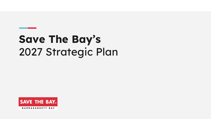# Save The Bay's 2027 Strategic Plan

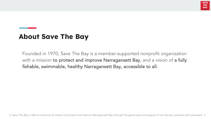

## About Save The Bay

Founded in 1970, Save The Bay is a member-supported nonprofit organization with a mission to protect and improve Narragansett Bay, and a vision of a fully fishable, swimmable, healthy Narragansett Bay, accessible to all.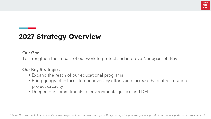

# 2027 Strategy Overview

### Our Goal

To strengthen the impact of our work to protect and improve Narragansett Bay

### Our Key Strategies

- Expand the reach of our educational programs
- Bring geographic focus to our advocacy efforts and increase habitat restoration project capacity
- Deepen our commitments to environmental justice and DEI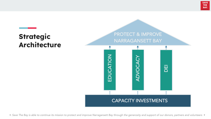# **Strategic Architecture**

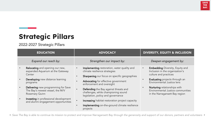# Strategic Pillars

2022-2027 Strategic Pillars

| <b>EDUCATION</b>                                                                                                                                                                                                                                                                                                         | <b>ADVOCACY</b>                                                                                                                                                                                                                                                                                                                                                                                                                                      | <b>DIVERSITY, EQUITY &amp; INCLUSION</b>                                                                                                                                                                                                                                         |
|--------------------------------------------------------------------------------------------------------------------------------------------------------------------------------------------------------------------------------------------------------------------------------------------------------------------------|------------------------------------------------------------------------------------------------------------------------------------------------------------------------------------------------------------------------------------------------------------------------------------------------------------------------------------------------------------------------------------------------------------------------------------------------------|----------------------------------------------------------------------------------------------------------------------------------------------------------------------------------------------------------------------------------------------------------------------------------|
| Expand our reach by:                                                                                                                                                                                                                                                                                                     | Strengthen our impact by:                                                                                                                                                                                                                                                                                                                                                                                                                            | Deepen engagement by:                                                                                                                                                                                                                                                            |
| Relocating and opening our new,<br>expanded Aquarium at the Gateway<br>Center<br>Developing new distance learning<br>programs<br><b>Delivering</b> new programming for Save<br>The Bay's newest vessel, the M/V<br>Rosemary Quinn<br><b>Investing</b> in professional development<br>and alumni engagement opportunities | Implementing restoration, water quality and<br>climate resilience strategies<br>Sharpening our focus on specific geographies<br><b>Advocating</b> for effective government<br>enforcement and oversight<br>Defending the Bay against threats and<br>challenges, while championing sound<br>legislation, policy and governance<br><b>Increasing</b> habitat restoration project capacity<br>Implementing on-the-ground climate resilience<br>projects | <b>Embedding</b> Diversity, Equity and<br>Inclusion in the organization's<br>culture and practices<br><b>Evaluating</b> projects through an<br>Environmental Justice lens<br>Nurturing relationships with<br>Environmental Justice communities<br>in the Narragansett Bay region |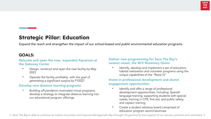### Strategic Pillar: Education

*Expand the reach and strengthen the impact of our school-based and public environmental education programs*

### GOALS:

#### Relocate and open the new, expanded Aquarium at the Gateway Center

- Design, construct and open the new facility by May 2023
- Operate the facility profitably, with the goal of generating a significant surplus by FY2027

### Develop new distance learning programs

• Building off pandemic-motivated virtual programs, develop a strategy to integrate distance learning into our educational program offerings

### Deliver new programming for Save The Bay's newest vessel, the M/V Rosemary Quinn

• Identify, develop and implement a set of education, habitat restoration and volunteer programs using the unique capabilities of the "Rosie Q"

### Invest in professional development and alumni engagement opportunities

- Identify and offer a range of professional development opportunities, including: Spanish language training; supporting students with special needs; training in CPR, first aid, and public safety; and captain training
- Create a student advisory board comprised of education program alumni/alumnae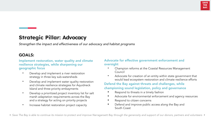#### **SAVE THE BAY**

### Strategic Pillar: Advocacy

*Strengthen the impact and effectiveness of our advocacy and habitat programs*

### GOALS:

Implement restoration, water quality and climate resilience strategies, while sharpening our geographic focus

- Develop and implement a river restoration strategy in three key sub-watersheds
- Develop and implement water quality restoration and climate resilience strategies for Aquidneck Island and three priority embayments
- Develop a prioritized project inventory list for salt marsh adaptation requirements across the Bay and a strategy for acting on priority projects
- Increase habitat restoration project capacity

### Advocate for effective government enforcement and oversight

- Champion reforms at the Coastal Resources Management Council
- Advocate for creation of an entity within state government that would lead ecosystem restoration and climate resilience efforts

### Defend the Bay against threats and challenges, while championing sound legislation, policy and governance

- Respond to threats in a timely fashion
- Advocate for environmental enforcement and agency resources
- Respond to citizen concerns
- Defend and improve public access along the Bay and South Coast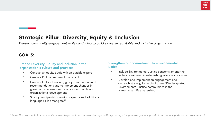

### Strategic Pillar: Diversity, Equity & Inclusion

*Deepen community engagement while continuing to build a diverse, equitable and inclusive organization*

### GOALS:

### Embed Diversity, Equity and Inclusion in the organization's culture and practices

- Conduct an equity audit with an outside expert
- Create a DEI committee of the board
- Create a DEI staff working group to act upon audit recommendations and to implement changes in governance, operational practices, outreach, and organizational development
- Strengthen Spanish-speaking capacity and additional language skills among staff

#### Strengthen our commitment to environmental iustice

- Include Environmental Justice concerns among the factors considered in establishing advocacy priorities
- Develop and implement an engagement and outreach strategy for each of three EPA-designated Environmental Justice communities in the Narragansett Bay watershed